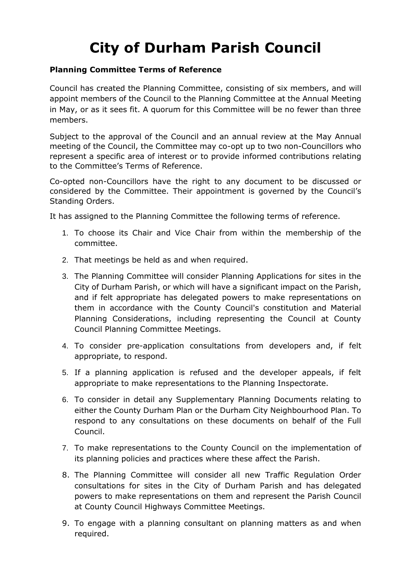## **City of Durham Parish Council**

## **Planning Committee Terms of Reference**

Council has created the Planning Committee, consisting of six members, and will appoint members of the Council to the Planning Committee at the Annual Meeting in May, or as it sees fit. A quorum for this Committee will be no fewer than three members.

Subject to the approval of the Council and an annual review at the May Annual meeting of the Council, the Committee may co-opt up to two non-Councillors who represent a specific area of interest or to provide informed contributions relating to the Committee's Terms of Reference.

Co-opted non-Councillors have the right to any document to be discussed or considered by the Committee. Their appointment is governed by the Council's Standing Orders.

It has assigned to the Planning Committee the following terms of reference.

- 1. To choose its Chair and Vice Chair from within the membership of the committee.
- 2. That meetings be held as and when required.
- 3. The Planning Committee will consider Planning Applications for sites in the City of Durham Parish, or which will have a significant impact on the Parish, and if felt appropriate has delegated powers to make representations on them in accordance with the County Council's constitution and Material Planning Considerations, including representing the Council at County Council Planning Committee Meetings.
- 4. To consider pre-application consultations from developers and, if felt appropriate, to respond.
- 5. If a planning application is refused and the developer appeals, if felt appropriate to make representations to the Planning Inspectorate.
- 6. To consider in detail any Supplementary Planning Documents relating to either the County Durham Plan or the Durham City Neighbourhood Plan. To respond to any consultations on these documents on behalf of the Full Council.
- 7. To make representations to the County Council on the implementation of its planning policies and practices where these affect the Parish.
- 8. The Planning Committee will consider all new Traffic Regulation Order consultations for sites in the City of Durham Parish and has delegated powers to make representations on them and represent the Parish Council at County Council Highways Committee Meetings.
- 9. To engage with a planning consultant on planning matters as and when required.